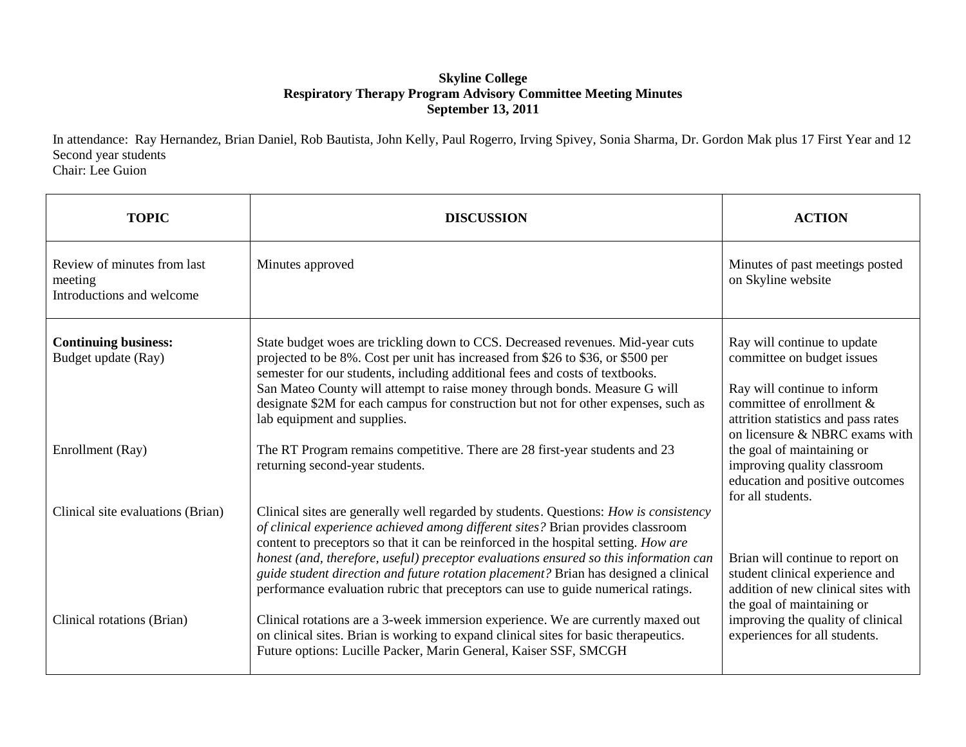## **Skyline College Respiratory Therapy Program Advisory Committee Meeting Minutes September 13, 2011**

In attendance: Ray Hernandez, Brian Daniel, Rob Bautista, John Kelly, Paul Rogerro, Irving Spivey, Sonia Sharma, Dr. Gordon Mak plus 17 First Year and 12 Second year students

Chair: Lee Guion

| <b>TOPIC</b>                                                        | <b>DISCUSSION</b>                                                                                                                                                                                                                                                                                                                                                                                                                                                                                                                     | <b>ACTION</b>                                                                                                                                                                                  |
|---------------------------------------------------------------------|---------------------------------------------------------------------------------------------------------------------------------------------------------------------------------------------------------------------------------------------------------------------------------------------------------------------------------------------------------------------------------------------------------------------------------------------------------------------------------------------------------------------------------------|------------------------------------------------------------------------------------------------------------------------------------------------------------------------------------------------|
| Review of minutes from last<br>meeting<br>Introductions and welcome | Minutes approved                                                                                                                                                                                                                                                                                                                                                                                                                                                                                                                      | Minutes of past meetings posted<br>on Skyline website                                                                                                                                          |
| <b>Continuing business:</b><br>Budget update (Ray)                  | State budget woes are trickling down to CCS. Decreased revenues. Mid-year cuts<br>projected to be 8%. Cost per unit has increased from \$26 to \$36, or \$500 per<br>semester for our students, including additional fees and costs of textbooks.<br>San Mateo County will attempt to raise money through bonds. Measure G will<br>designate \$2M for each campus for construction but not for other expenses, such as<br>lab equipment and supplies.                                                                                 | Ray will continue to update<br>committee on budget issues<br>Ray will continue to inform<br>committee of enrollment &<br>attrition statistics and pass rates<br>on licensure & NBRC exams with |
| Enrollment (Ray)                                                    | The RT Program remains competitive. There are 28 first-year students and 23<br>returning second-year students.                                                                                                                                                                                                                                                                                                                                                                                                                        | the goal of maintaining or<br>improving quality classroom<br>education and positive outcomes<br>for all students.                                                                              |
| Clinical site evaluations (Brian)                                   | Clinical sites are generally well regarded by students. Questions: How is consistency<br>of clinical experience achieved among different sites? Brian provides classroom<br>content to preceptors so that it can be reinforced in the hospital setting. How are<br>honest (and, therefore, useful) preceptor evaluations ensured so this information can<br>guide student direction and future rotation placement? Brian has designed a clinical<br>performance evaluation rubric that preceptors can use to guide numerical ratings. | Brian will continue to report on<br>student clinical experience and<br>addition of new clinical sites with<br>the goal of maintaining or                                                       |
| Clinical rotations (Brian)                                          | Clinical rotations are a 3-week immersion experience. We are currently maxed out<br>on clinical sites. Brian is working to expand clinical sites for basic therapeutics.<br>Future options: Lucille Packer, Marin General, Kaiser SSF, SMCGH                                                                                                                                                                                                                                                                                          | improving the quality of clinical<br>experiences for all students.                                                                                                                             |